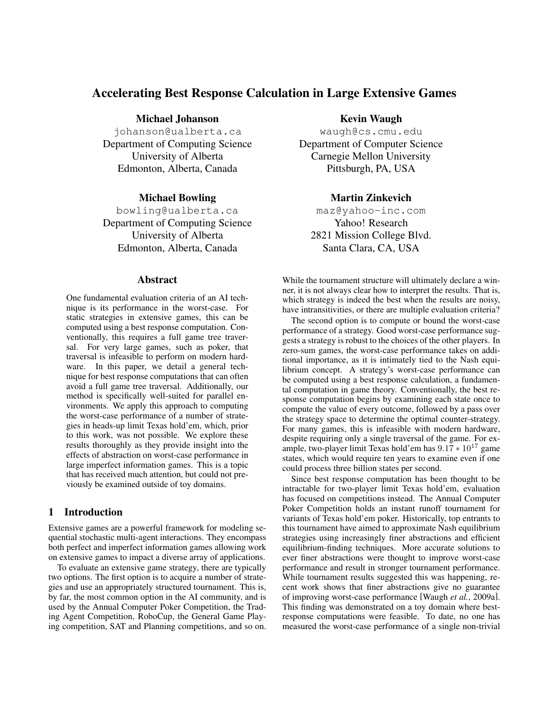# Accelerating Best Response Calculation in Large Extensive Games

Michael Johanson

johanson@ualberta.ca Department of Computing Science University of Alberta Edmonton, Alberta, Canada

#### Michael Bowling

bowling@ualberta.ca Department of Computing Science University of Alberta Edmonton, Alberta, Canada

#### Abstract

One fundamental evaluation criteria of an AI technique is its performance in the worst-case. For static strategies in extensive games, this can be computed using a best response computation. Conventionally, this requires a full game tree traversal. For very large games, such as poker, that traversal is infeasible to perform on modern hardware. In this paper, we detail a general technique for best response computations that can often avoid a full game tree traversal. Additionally, our method is specifically well-suited for parallel environments. We apply this approach to computing the worst-case performance of a number of strategies in heads-up limit Texas hold'em, which, prior to this work, was not possible. We explore these results thoroughly as they provide insight into the effects of abstraction on worst-case performance in large imperfect information games. This is a topic that has received much attention, but could not previously be examined outside of toy domains.

# 1 Introduction

Extensive games are a powerful framework for modeling sequential stochastic multi-agent interactions. They encompass both perfect and imperfect information games allowing work on extensive games to impact a diverse array of applications.

To evaluate an extensive game strategy, there are typically two options. The first option is to acquire a number of strategies and use an appropriately structured tournament. This is, by far, the most common option in the AI community, and is used by the Annual Computer Poker Competition, the Trading Agent Competition, RoboCup, the General Game Playing competition, SAT and Planning competitions, and so on. Kevin Waugh

waugh@cs.cmu.edu Department of Computer Science Carnegie Mellon University Pittsburgh, PA, USA

# Martin Zinkevich

maz@yahoo-inc.com Yahoo! Research 2821 Mission College Blvd. Santa Clara, CA, USA

While the tournament structure will ultimately declare a winner, it is not always clear how to interpret the results. That is, which strategy is indeed the best when the results are noisy, have intransitivities, or there are multiple evaluation criteria?

The second option is to compute or bound the worst-case performance of a strategy. Good worst-case performance suggests a strategy is robust to the choices of the other players. In zero-sum games, the worst-case performance takes on additional importance, as it is intimately tied to the Nash equilibrium concept. A strategy's worst-case performance can be computed using a best response calculation, a fundamental computation in game theory. Conventionally, the best response computation begins by examining each state once to compute the value of every outcome, followed by a pass over the strategy space to determine the optimal counter-strategy. For many games, this is infeasible with modern hardware, despite requiring only a single traversal of the game. For example, two-player limit Texas hold'em has  $9.17 * 10^{17}$  game states, which would require ten years to examine even if one could process three billion states per second.

Since best response computation has been thought to be intractable for two-player limit Texas hold'em, evaluation has focused on competitions instead. The Annual Computer Poker Competition holds an instant runoff tournament for variants of Texas hold'em poker. Historically, top entrants to this tournament have aimed to approximate Nash equilibrium strategies using increasingly finer abstractions and efficient equilibrium-finding techniques. More accurate solutions to ever finer abstractions were thought to improve worst-case performance and result in stronger tournament performance. While tournament results suggested this was happening, recent work shows that finer abstractions give no guarantee of improving worst-case performance [Waugh *et al.*, 2009a]. This finding was demonstrated on a toy domain where bestresponse computations were feasible. To date, no one has measured the worst-case performance of a single non-trivial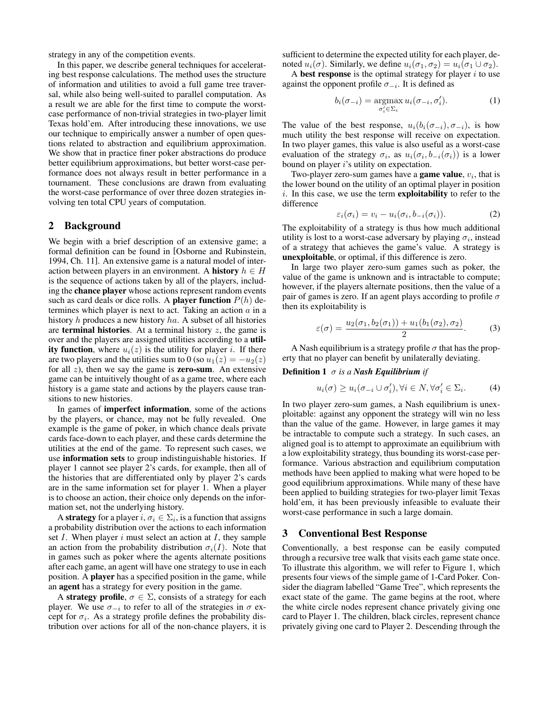strategy in any of the competition events.

In this paper, we describe general techniques for accelerating best response calculations. The method uses the structure of information and utilities to avoid a full game tree traversal, while also being well-suited to parallel computation. As a result we are able for the first time to compute the worstcase performance of non-trivial strategies in two-player limit Texas hold'em. After introducing these innovations, we use our technique to empirically answer a number of open questions related to abstraction and equilibrium approximation. We show that in practice finer poker abstractions do produce better equilibrium approximations, but better worst-case performance does not always result in better performance in a tournament. These conclusions are drawn from evaluating the worst-case performance of over three dozen strategies involving ten total CPU years of computation.

#### 2 Background

We begin with a brief description of an extensive game; a formal definition can be found in [Osborne and Rubinstein, 1994, Ch. 11]. An extensive game is a natural model of interaction between players in an environment. A **history**  $h \in H$ is the sequence of actions taken by all of the players, including the chance player whose actions represent random events such as card deals or dice rolls. A **player function**  $P(h)$  determines which player is next to act. Taking an action  $a$  in a history h produces a new history ha. A subset of all histories are **terminal histories**. At a terminal history  $z$ , the game is over and the players are assigned utilities according to a utility function, where  $u_i(z)$  is the utility for player *i*. If there are two players and the utilities sum to 0 (so  $u_1(z) = -u_2(z)$ ) for all  $z$ ), then we say the game is **zero-sum**. An extensive game can be intuitively thought of as a game tree, where each history is a game state and actions by the players cause transitions to new histories.

In games of imperfect information, some of the actions by the players, or chance, may not be fully revealed. One example is the game of poker, in which chance deals private cards face-down to each player, and these cards determine the utilities at the end of the game. To represent such cases, we use information sets to group indistinguishable histories. If player 1 cannot see player 2's cards, for example, then all of the histories that are differentiated only by player 2's cards are in the same information set for player 1. When a player is to choose an action, their choice only depends on the information set, not the underlying history.

A strategy for a player  $i, \sigma_i \in \Sigma_i$ , is a function that assigns a probability distribution over the actions to each information set  $I$ . When player  $i$  must select an action at  $I$ , they sample an action from the probability distribution  $\sigma_i(I)$ . Note that in games such as poker where the agents alternate positions after each game, an agent will have one strategy to use in each position. A player has a specified position in the game, while an agent has a strategy for every position in the game.

A strategy profile,  $\sigma \in \Sigma$ , consists of a strategy for each player. We use  $\sigma_{-i}$  to refer to all of the strategies in  $\sigma$  except for  $\sigma_i$ . As a strategy profile defines the probability distribution over actions for all of the non-chance players, it is sufficient to determine the expected utility for each player, denoted  $u_i(\sigma)$ . Similarly, we define  $u_i(\sigma_1, \sigma_2) = u_i(\sigma_1 \cup \sigma_2)$ .

A best response is the optimal strategy for player  $i$  to use against the opponent profile  $\sigma_{-i}$ . It is defined as

$$
b_i(\sigma_{-i}) = \operatorname*{argmax}_{\sigma'_i \in \Sigma_i} u_i(\sigma_{-i}, \sigma'_i). \tag{1}
$$

The value of the best response,  $u_i(b_i(\sigma_{-i}), \sigma_{-i})$ , is how much utility the best response will receive on expectation. In two player games, this value is also useful as a worst-case evaluation of the strategy  $\sigma_i$ , as  $u_i(\sigma_i, b_{-i}(\sigma_i))$  is a lower bound on player *i*'s utility on expectation.

Two-player zero-sum games have a **game value**,  $v_i$ , that is the lower bound on the utility of an optimal player in position  $i$ . In this case, we use the term **exploitability** to refer to the difference

$$
\varepsilon_i(\sigma_i) = v_i - u_i(\sigma_i, b_{-i}(\sigma_i)). \tag{2}
$$

The exploitability of a strategy is thus how much additional utility is lost to a worst-case adversary by playing  $\sigma_i$ , instead of a strategy that achieves the game's value. A strategy is unexploitable, or optimal, if this difference is zero.

In large two player zero-sum games such as poker, the value of the game is unknown and is intractable to compute; however, if the players alternate positions, then the value of a pair of games is zero. If an agent plays according to profile  $\sigma$ then its exploitability is

$$
\varepsilon(\sigma) = \frac{u_2(\sigma_1, b_2(\sigma_1)) + u_1(b_1(\sigma_2), \sigma_2)}{2}.
$$
 (3)

A Nash equilibrium is a strategy profile  $\sigma$  that has the property that no player can benefit by unilaterally deviating.

#### Definition 1 σ *is a Nash Equilibrium if*

$$
u_i(\sigma) \ge u_i(\sigma_{-i} \cup \sigma'_i), \forall i \in N, \forall \sigma'_i \in \Sigma_i.
$$
 (4)

In two player zero-sum games, a Nash equilibrium is unexploitable: against any opponent the strategy will win no less than the value of the game. However, in large games it may be intractable to compute such a strategy. In such cases, an aligned goal is to attempt to approximate an equilibrium with a low exploitability strategy, thus bounding its worst-case performance. Various abstraction and equilibrium computation methods have been applied to making what were hoped to be good equilibrium approximations. While many of these have been applied to building strategies for two-player limit Texas hold'em, it has been previously infeasible to evaluate their worst-case performance in such a large domain.

#### 3 Conventional Best Response

Conventionally, a best response can be easily computed through a recursive tree walk that visits each game state once. To illustrate this algorithm, we will refer to Figure 1, which presents four views of the simple game of 1-Card Poker. Consider the diagram labelled "Game Tree", which represents the exact state of the game. The game begins at the root, where the white circle nodes represent chance privately giving one card to Player 1. The children, black circles, represent chance privately giving one card to Player 2. Descending through the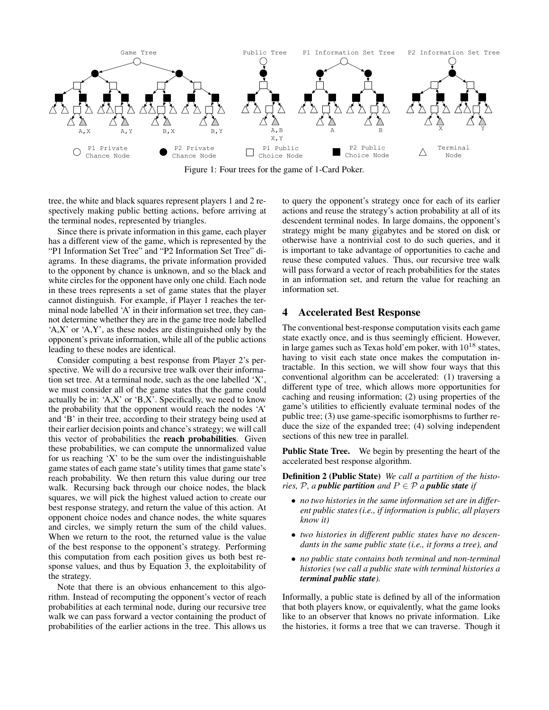

Figure 1: Four trees for the game of 1-Card Poker.

tree, the white and black squares represent players 1 and 2 respectively making public betting actions, before arriving at the terminal nodes, represented by triangles.

Since there is private information in this game, each player has a different view of the game, which is represented by the "P1 Information Set Tree" and "P2 Information Set Tree" diagrams. In these diagrams, the private information provided to the opponent by chance is unknown, and so the black and white circles for the opponent have only one child. Each node in these trees represents a set of game states that the player cannot distinguish. For example, if Player 1 reaches the terminal node labelled 'A' in their information set tree, they cannot determine whether they are in the game tree node labelled 'A,X' or 'A,Y', as these nodes are distinguished only by the opponent's private information, while all of the public actions leading to these nodes are identical.

Consider computing a best response from Player 2's perspective. We will do a recursive tree walk over their information set tree. At a terminal node, such as the one labelled 'X', we must consider all of the game states that the game could actually be in: ' $A, X$ ' or ' $B, X$ '. Specifically, we need to know the probability that the opponent would reach the nodes 'A' and 'B' in their tree, according to their strategy being used at their earlier decision points and chance's strategy; we will call this vector of probabilities the reach probabilities. Given these probabilities, we can compute the unnormalized value for us reaching 'X' to be the sum over the indistinguishable game states of each game state's utility times that game state's reach probability. We then return this value during our tree walk. Recursing back through our choice nodes, the black squares, we will pick the highest valued action to create our best response strategy, and return the value of this action. At opponent choice nodes and chance nodes, the white squares and circles, we simply return the sum of the child values. When we return to the root, the returned value is the value of the best response to the opponent's strategy. Performing this computation from each position gives us both best response values, and thus by Equation 3, the exploitability of the strategy.

Note that there is an obvious enhancement to this algorithm. Instead of recomputing the opponent's vector of reach probabilities at each terminal node, during our recursive tree walk we can pass forward a vector containing the product of probabilities of the earlier actions in the tree. This allows us to query the opponent's strategy once for each of its earlier actions and reuse the strategy's action probability at all of its descendent terminal nodes. In large domains, the opponent's strategy might be many gigabytes and be stored on disk or otherwise have a nontrivial cost to do such queries, and it is important to take advantage of opportunities to cache and reuse these computed values. Thus, our recursive tree walk will pass forward a vector of reach probabilities for the states in an information set, and return the value for reaching an information set.

# 4 Accelerated Best Response

The conventional best-response computation visits each game state exactly once, and is thus seemingly efficient. However, in large games such as Texas hold'em poker, with  $10^{18}$  states, having to visit each state once makes the computation intractable. In this section, we will show four ways that this conventional algorithm can be accelerated: (1) traversing a different type of tree, which allows more opportunities for caching and reusing information; (2) using properties of the game's utilities to efficiently evaluate terminal nodes of the public tree; (3) use game-specific isomorphisms to further reduce the size of the expanded tree; (4) solving independent sections of this new tree in parallel.

Public State Tree. We begin by presenting the heart of the accelerated best response algorithm.

Definition 2 (Public State) *We call a partition of the histories,*  $P$ *, a public partition and*  $P \in P$  *a public state if* 

- *no two histories in the same information set are in different public states (i.e., if information is public, all players know it)*
- *two histories in different public states have no descendants in the same public state (i.e., it forms a tree), and*
- *no public state contains both terminal and non-terminal histories (we call a public state with terminal histories a terminal public state).*

Informally, a public state is defined by all of the information that both players know, or equivalently, what the game looks like to an observer that knows no private information. Like the histories, it forms a tree that we can traverse. Though it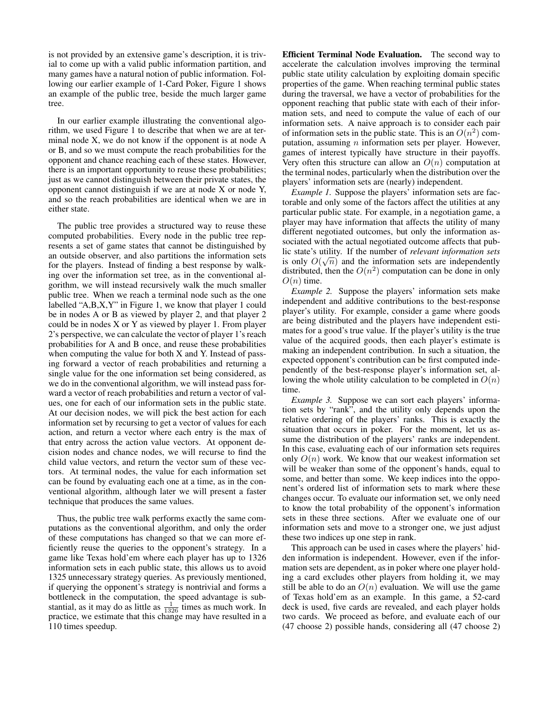is not provided by an extensive game's description, it is trivial to come up with a valid public information partition, and many games have a natural notion of public information. Following our earlier example of 1-Card Poker, Figure 1 shows an example of the public tree, beside the much larger game tree.

In our earlier example illustrating the conventional algorithm, we used Figure 1 to describe that when we are at terminal node X, we do not know if the opponent is at node A or B, and so we must compute the reach probabilities for the opponent and chance reaching each of these states. However, there is an important opportunity to reuse these probabilities; just as we cannot distinguish between their private states, the opponent cannot distinguish if we are at node X or node Y, and so the reach probabilities are identical when we are in either state.

The public tree provides a structured way to reuse these computed probabilities. Every node in the public tree represents a set of game states that cannot be distinguished by an outside observer, and also partitions the information sets for the players. Instead of finding a best response by walking over the information set tree, as in the conventional algorithm, we will instead recursively walk the much smaller public tree. When we reach a terminal node such as the one labelled "A,B,X,Y" in Figure 1, we know that player 1 could be in nodes A or B as viewed by player 2, and that player 2 could be in nodes X or Y as viewed by player 1. From player 2's perspective, we can calculate the vector of player 1's reach probabilities for A and B once, and reuse these probabilities when computing the value for both X and Y. Instead of passing forward a vector of reach probabilities and returning a single value for the one information set being considered, as we do in the conventional algorithm, we will instead pass forward a vector of reach probabilities and return a vector of values, one for each of our information sets in the public state. At our decision nodes, we will pick the best action for each information set by recursing to get a vector of values for each action, and return a vector where each entry is the max of that entry across the action value vectors. At opponent decision nodes and chance nodes, we will recurse to find the child value vectors, and return the vector sum of these vectors. At terminal nodes, the value for each information set can be found by evaluating each one at a time, as in the conventional algorithm, although later we will present a faster technique that produces the same values.

Thus, the public tree walk performs exactly the same computations as the conventional algorithm, and only the order of these computations has changed so that we can more efficiently reuse the queries to the opponent's strategy. In a game like Texas hold'em where each player has up to 1326 information sets in each public state, this allows us to avoid 1325 unnecessary strategy queries. As previously mentioned, if querying the opponent's strategy is nontrivial and forms a bottleneck in the computation, the speed advantage is substantial, as it may do as little as  $\frac{1}{1326}$  times as much work. In practice, we estimate that this change may have resulted in a 110 times speedup.

Efficient Terminal Node Evaluation. The second way to accelerate the calculation involves improving the terminal public state utility calculation by exploiting domain specific properties of the game. When reaching terminal public states during the traversal, we have a vector of probabilities for the opponent reaching that public state with each of their information sets, and need to compute the value of each of our information sets. A naive approach is to consider each pair of information sets in the public state. This is an  $O(n^2)$  computation, assuming  $n$  information sets per player. However, games of interest typically have structure in their payoffs. Very often this structure can allow an  $O(n)$  computation at the terminal nodes, particularly when the distribution over the players' information sets are (nearly) independent.

*Example 1.* Suppose the players' information sets are factorable and only some of the factors affect the utilities at any particular public state. For example, in a negotiation game, a player may have information that affects the utility of many different negotiated outcomes, but only the information associated with the actual negotiated outcome affects that public state's utility. If the number of *relevant information sets* √ is only  $O(\sqrt{n})$  and the information sets are independently distributed, then the  $O(n^2)$  computation can be done in only  $O(n)$  time.

*Example 2.* Suppose the players' information sets make independent and additive contributions to the best-response player's utility. For example, consider a game where goods are being distributed and the players have independent estimates for a good's true value. If the player's utility is the true value of the acquired goods, then each player's estimate is making an independent contribution. In such a situation, the expected opponent's contribution can be first computed independently of the best-response player's information set, allowing the whole utility calculation to be completed in  $O(n)$ time.

*Example 3.* Suppose we can sort each players' information sets by "rank", and the utility only depends upon the relative ordering of the players' ranks. This is exactly the situation that occurs in poker. For the moment, let us assume the distribution of the players' ranks are independent. In this case, evaluating each of our information sets requires only  $O(n)$  work. We know that our weakest information set will be weaker than some of the opponent's hands, equal to some, and better than some. We keep indices into the opponent's ordered list of information sets to mark where these changes occur. To evaluate our information set, we only need to know the total probability of the opponent's information sets in these three sections. After we evaluate one of our information sets and move to a stronger one, we just adjust these two indices up one step in rank.

This approach can be used in cases where the players' hidden information is independent. However, even if the information sets are dependent, as in poker where one player holding a card excludes other players from holding it, we may still be able to do an  $O(n)$  evaluation. We will use the game of Texas hold'em as an example. In this game, a 52-card deck is used, five cards are revealed, and each player holds two cards. We proceed as before, and evaluate each of our (47 choose 2) possible hands, considering all (47 choose 2)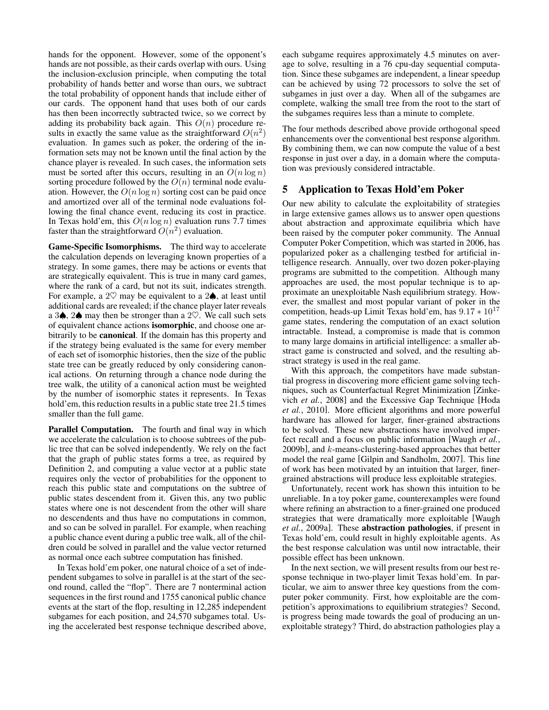hands for the opponent. However, some of the opponent's hands are not possible, as their cards overlap with ours. Using the inclusion-exclusion principle, when computing the total probability of hands better and worse than ours, we subtract the total probability of opponent hands that include either of our cards. The opponent hand that uses both of our cards has then been incorrectly subtracted twice, so we correct by adding its probability back again. This  $O(n)$  procedure results in exactly the same value as the straightforward  $O(n^2)$ evaluation. In games such as poker, the ordering of the information sets may not be known until the final action by the chance player is revealed. In such cases, the information sets must be sorted after this occurs, resulting in an  $O(n \log n)$ sorting procedure followed by the  $O(n)$  terminal node evaluation. However, the  $O(n \log n)$  sorting cost can be paid once and amortized over all of the terminal node evaluations following the final chance event, reducing its cost in practice. In Texas hold'em, this  $O(n \log n)$  evaluation runs 7.7 times faster than the straightforward  $O(n^2)$  evaluation.

Game-Specific Isomorphisms. The third way to accelerate the calculation depends on leveraging known properties of a strategy. In some games, there may be actions or events that are strategically equivalent. This is true in many card games, where the rank of a card, but not its suit, indicates strength. For example, a 2 $\heartsuit$  may be equivalent to a 2 $\spadesuit$ , at least until additional cards are revealed; if the chance player later reveals a 3 $\spadesuit$ , 2 $\spadesuit$  may then be stronger than a 2 $\heartsuit$ . We call such sets of equivalent chance actions isomorphic, and choose one arbitrarily to be canonical. If the domain has this property and if the strategy being evaluated is the same for every member of each set of isomorphic histories, then the size of the public state tree can be greatly reduced by only considering canonical actions. On returning through a chance node during the tree walk, the utility of a canonical action must be weighted by the number of isomorphic states it represents. In Texas hold'em, this reduction results in a public state tree 21.5 times smaller than the full game.

Parallel Computation. The fourth and final way in which we accelerate the calculation is to choose subtrees of the public tree that can be solved independently. We rely on the fact that the graph of public states forms a tree, as required by Definition 2, and computing a value vector at a public state requires only the vector of probabilities for the opponent to reach this public state and computations on the subtree of public states descendent from it. Given this, any two public states where one is not descendent from the other will share no descendents and thus have no computations in common, and so can be solved in parallel. For example, when reaching a public chance event during a public tree walk, all of the children could be solved in parallel and the value vector returned as normal once each subtree computation has finished.

In Texas hold'em poker, one natural choice of a set of independent subgames to solve in parallel is at the start of the second round, called the "flop". There are 7 nonterminal action sequences in the first round and 1755 canonical public chance events at the start of the flop, resulting in 12,285 independent subgames for each position, and 24,570 subgames total. Using the accelerated best response technique described above, each subgame requires approximately 4.5 minutes on average to solve, resulting in a 76 cpu-day sequential computation. Since these subgames are independent, a linear speedup can be achieved by using 72 processors to solve the set of subgames in just over a day. When all of the subgames are complete, walking the small tree from the root to the start of the subgames requires less than a minute to complete.

The four methods described above provide orthogonal speed enhancements over the conventional best response algorithm. By combining them, we can now compute the value of a best response in just over a day, in a domain where the computation was previously considered intractable.

# 5 Application to Texas Hold'em Poker

Our new ability to calculate the exploitability of strategies in large extensive games allows us to answer open questions about abstraction and approximate equilibria which have been raised by the computer poker community. The Annual Computer Poker Competition, which was started in 2006, has popularized poker as a challenging testbed for artificial intelligence research. Annually, over two dozen poker-playing programs are submitted to the competition. Although many approaches are used, the most popular technique is to approximate an unexploitable Nash equilibrium strategy. However, the smallest and most popular variant of poker in the competition, heads-up Limit Texas hold'em, has  $9.17 \times 10^{17}$ game states, rendering the computation of an exact solution intractable. Instead, a compromise is made that is common to many large domains in artificial intelligence: a smaller abstract game is constructed and solved, and the resulting abstract strategy is used in the real game.

With this approach, the competitors have made substantial progress in discovering more efficient game solving techniques, such as Counterfactual Regret Minimization [Zinkevich *et al.*, 2008] and the Excessive Gap Technique [Hoda *et al.*, 2010]. More efficient algorithms and more powerful hardware has allowed for larger, finer-grained abstractions to be solved. These new abstractions have involved imperfect recall and a focus on public information [Waugh *et al.*, 2009b], and k-means-clustering-based approaches that better model the real game [Gilpin and Sandholm, 2007]. This line of work has been motivated by an intuition that larger, finergrained abstractions will produce less exploitable strategies.

Unfortunately, recent work has shown this intuition to be unreliable. In a toy poker game, counterexamples were found where refining an abstraction to a finer-grained one produced strategies that were dramatically more exploitable [Waugh *et al.*, 2009a]. These abstraction pathologies, if present in Texas hold'em, could result in highly exploitable agents. As the best response calculation was until now intractable, their possible effect has been unknown.

In the next section, we will present results from our best response technique in two-player limit Texas hold'em. In particular, we aim to answer three key questions from the computer poker community. First, how exploitable are the competition's approximations to equilibrium strategies? Second, is progress being made towards the goal of producing an unexploitable strategy? Third, do abstraction pathologies play a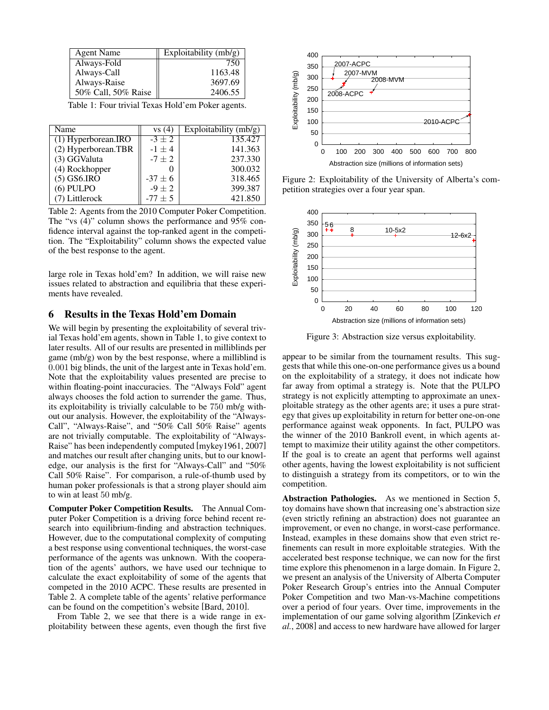| <b>Agent Name</b>   | Exploitability $(mb/g)$ |
|---------------------|-------------------------|
| Always-Fold         | 750                     |
| Always-Call         | 1163.48                 |
| Always-Raise        | 3697.69                 |
| 50% Call, 50% Raise | 2406.55                 |

Table 1: Four trivial Texas Hold'em Poker agents.

| Name                  | vs(4)       | Exploitability $(mb/g)$ |
|-----------------------|-------------|-------------------------|
| $(1)$ Hyperborean.IRO | $-3 + 2$    | 135.427                 |
| (2) Hyperborean.TBR   | $-1 + 4$    | 141.363                 |
| (3) GGValuta          | $-7 \pm 2$  | 237.330                 |
| (4) Rockhopper        |             | 300.032                 |
| $(5)$ GS6.IRO         | $-37 \pm 6$ | 318.465                 |
| $(6)$ PULPO           | $-9 \pm 2$  | 399.387                 |
| (7) Littlerock        | $-77 \pm 5$ | 421.850                 |

Table 2: Agents from the 2010 Computer Poker Competition. The "vs (4)" column shows the performance and 95% confidence interval against the top-ranked agent in the competition. The "Exploitability" column shows the expected value of the best response to the agent.

large role in Texas hold'em? In addition, we will raise new issues related to abstraction and equilibria that these experiments have revealed.

### 6 Results in the Texas Hold'em Domain

We will begin by presenting the exploitability of several trivial Texas hold'em agents, shown in Table 1, to give context to later results. All of our results are presented in milliblinds per game (mb/g) won by the best response, where a milliblind is 0.001 big blinds, the unit of the largest ante in Texas hold'em. Note that the exploitability values presented are precise to within floating-point inaccuracies. The "Always Fold" agent always chooses the fold action to surrender the game. Thus, its exploitability is trivially calculable to be 750 mb/g without our analysis. However, the exploitability of the "Always-Call", "Always-Raise", and "50% Call 50% Raise" agents are not trivially computable. The exploitability of "Always-Raise" has been independently computed [mykey1961, 2007] and matches our result after changing units, but to our knowledge, our analysis is the first for "Always-Call" and "50% Call 50% Raise". For comparison, a rule-of-thumb used by human poker professionals is that a strong player should aim to win at least 50 mb/g.

Computer Poker Competition Results. The Annual Computer Poker Competition is a driving force behind recent research into equilibrium-finding and abstraction techniques. However, due to the computational complexity of computing a best response using conventional techniques, the worst-case performance of the agents was unknown. With the cooperation of the agents' authors, we have used our technique to calculate the exact exploitability of some of the agents that competed in the 2010 ACPC. These results are presented in Table 2. A complete table of the agents' relative performance can be found on the competition's website [Bard, 2010].

From Table 2, we see that there is a wide range in exploitability between these agents, even though the first five



Figure 2: Exploitability of the University of Alberta's competition strategies over a four year span.



Figure 3: Abstraction size versus exploitability.

appear to be similar from the tournament results. This suggests that while this one-on-one performance gives us a bound on the exploitability of a strategy, it does not indicate how far away from optimal a strategy is. Note that the PULPO strategy is not explicitly attempting to approximate an unexploitable strategy as the other agents are; it uses a pure strategy that gives up exploitability in return for better one-on-one performance against weak opponents. In fact, PULPO was the winner of the 2010 Bankroll event, in which agents attempt to maximize their utility against the other competitors. If the goal is to create an agent that performs well against other agents, having the lowest exploitability is not sufficient to distinguish a strategy from its competitors, or to win the competition.

Abstraction Pathologies. As we mentioned in Section 5, toy domains have shown that increasing one's abstraction size (even strictly refining an abstraction) does not guarantee an improvement, or even no change, in worst-case performance. Instead, examples in these domains show that even strict refinements can result in more exploitable strategies. With the accelerated best response technique, we can now for the first time explore this phenomenon in a large domain. In Figure 2, we present an analysis of the University of Alberta Computer Poker Research Group's entries into the Annual Computer Poker Competition and two Man-vs-Machine competitions over a period of four years. Over time, improvements in the implementation of our game solving algorithm [Zinkevich *et al.*, 2008] and access to new hardware have allowed for larger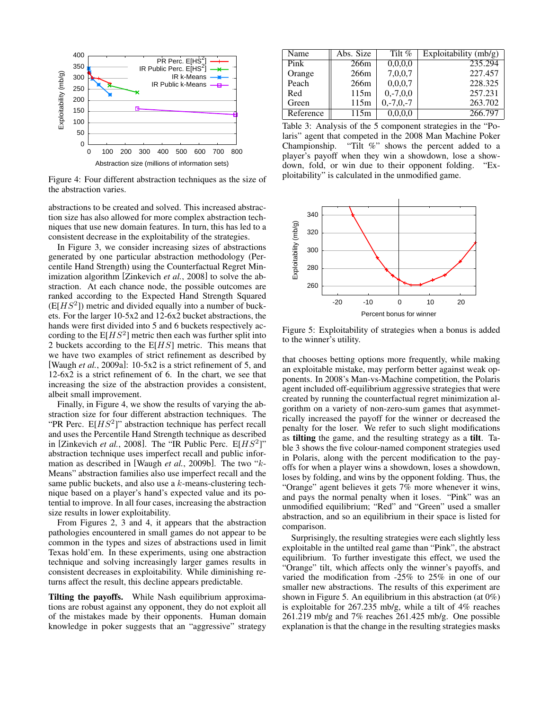

Figure 4: Four different abstraction techniques as the size of the abstraction varies.

abstractions to be created and solved. This increased abstraction size has also allowed for more complex abstraction techniques that use new domain features. In turn, this has led to a consistent decrease in the exploitability of the strategies.

In Figure 3, we consider increasing sizes of abstractions generated by one particular abstraction methodology (Percentile Hand Strength) using the Counterfactual Regret Minimization algorithm [Zinkevich *et al.*, 2008] to solve the abstraction. At each chance node, the possible outcomes are ranked according to the Expected Hand Strength Squared  $(E[HS<sup>2</sup>] )$  metric and divided equally into a number of buckets. For the larger 10-5x2 and 12-6x2 bucket abstractions, the hands were first divided into 5 and 6 buckets respectively according to the  $E[HS^2]$  metric then each was further split into 2 buckets according to the  $E[HS]$  metric. This means that we have two examples of strict refinement as described by [Waugh *et al.*, 2009a]: 10-5x2 is a strict refinement of 5, and 12-6x2 is a strict refinement of 6. In the chart, we see that increasing the size of the abstraction provides a consistent, albeit small improvement.

Finally, in Figure 4, we show the results of varying the abstraction size for four different abstraction techniques. The "PR Perc.  $E[HS^2]$ " abstraction technique has perfect recall and uses the Percentile Hand Strength technique as described in [Zinkevich *et al.*, 2008]. The "IR Public Perc.  $E[HS^2]$ " abstraction technique uses imperfect recall and public information as described in [Waugh *et al.*, 2009b]. The two "k-Means" abstraction families also use imperfect recall and the same public buckets, and also use a k-means-clustering technique based on a player's hand's expected value and its potential to improve. In all four cases, increasing the abstraction size results in lower exploitability.

From Figures 2, 3 and 4, it appears that the abstraction pathologies encountered in small games do not appear to be common in the types and sizes of abstractions used in limit Texas hold'em. In these experiments, using one abstraction technique and solving increasingly larger games results in consistent decreases in exploitability. While diminishing returns affect the result, this decline appears predictable.

Tilting the payoffs. While Nash equilibrium approximations are robust against any opponent, they do not exploit all of the mistakes made by their opponents. Human domain knowledge in poker suggests that an "aggressive" strategy

| Name      | Abs. Size | Tilt $%$       | Exploitability $(mb/g)$ |
|-----------|-----------|----------------|-------------------------|
| Pink      | 266m      | 0,0,0,0        | 235.294                 |
| Orange    | 266m      | 7,0,0,7        | 227.457                 |
| Peach     | 266m      | 0,0,0,7        | 228.325                 |
| Red       | 115m      | $0, -7, 0, 0$  | 257.231                 |
| Green     | 115m      | $0, -7, 0, -7$ | 263.702                 |
| Reference | 115m      | 0.0.0.0        | 266.797                 |

Table 3: Analysis of the 5 component strategies in the "Polaris" agent that competed in the 2008 Man Machine Poker Championship. "Tilt %" shows the percent added to a player's payoff when they win a showdown, lose a showdown, fold, or win due to their opponent folding. "Exploitability" is calculated in the unmodified game.



Figure 5: Exploitability of strategies when a bonus is added to the winner's utility.

that chooses betting options more frequently, while making an exploitable mistake, may perform better against weak opponents. In 2008's Man-vs-Machine competition, the Polaris agent included off-equilibrium aggressive strategies that were created by running the counterfactual regret minimization algorithm on a variety of non-zero-sum games that asymmetrically increased the payoff for the winner or decreased the penalty for the loser. We refer to such slight modifications as tilting the game, and the resulting strategy as a tilt. Table 3 shows the five colour-named component strategies used in Polaris, along with the percent modification to the payoffs for when a player wins a showdown, loses a showdown, loses by folding, and wins by the opponent folding. Thus, the "Orange" agent believes it gets 7% more whenever it wins, and pays the normal penalty when it loses. "Pink" was an unmodified equilibrium; "Red" and "Green" used a smaller abstraction, and so an equilibrium in their space is listed for comparison.

Surprisingly, the resulting strategies were each slightly less exploitable in the untilted real game than "Pink", the abstract equilibrium. To further investigate this effect, we used the "Orange" tilt, which affects only the winner's payoffs, and varied the modification from -25% to 25% in one of our smaller new abstractions. The results of this experiment are shown in Figure 5. An equilibrium in this abstraction (at 0%) is exploitable for 267.235 mb/g, while a tilt of 4% reaches 261.219 mb/g and 7% reaches 261.425 mb/g. One possible explanation is that the change in the resulting strategies masks